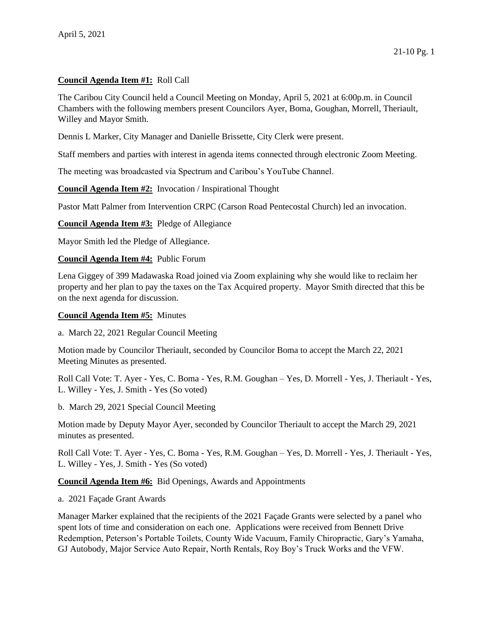## **Council Agenda Item #1:** Roll Call

The Caribou City Council held a Council Meeting on Monday, April 5, 2021 at 6:00p.m. in Council Chambers with the following members present Councilors Ayer, Boma, Goughan, Morrell, Theriault, Willey and Mayor Smith.

Dennis L Marker, City Manager and Danielle Brissette, City Clerk were present.

Staff members and parties with interest in agenda items connected through electronic Zoom Meeting.

The meeting was broadcasted via Spectrum and Caribou's YouTube Channel.

**Council Agenda Item #2:** Invocation / Inspirational Thought

Pastor Matt Palmer from Intervention CRPC (Carson Road Pentecostal Church) led an invocation.

**Council Agenda Item #3:** Pledge of Allegiance

Mayor Smith led the Pledge of Allegiance.

## **Council Agenda Item #4:** Public Forum

Lena Giggey of 399 Madawaska Road joined via Zoom explaining why she would like to reclaim her property and her plan to pay the taxes on the Tax Acquired property. Mayor Smith directed that this be on the next agenda for discussion.

## **Council Agenda Item #5:** Minutes

a. March 22, 2021 Regular Council Meeting

Motion made by Councilor Theriault, seconded by Councilor Boma to accept the March 22, 2021 Meeting Minutes as presented.

Roll Call Vote: T. Ayer - Yes, C. Boma - Yes, R.M. Goughan – Yes, D. Morrell - Yes, J. Theriault - Yes, L. Willey - Yes, J. Smith - Yes (So voted)

b. March 29, 2021 Special Council Meeting

Motion made by Deputy Mayor Ayer, seconded by Councilor Theriault to accept the March 29, 2021 minutes as presented.

Roll Call Vote: T. Ayer - Yes, C. Boma - Yes, R.M. Goughan – Yes, D. Morrell - Yes, J. Theriault - Yes, L. Willey - Yes, J. Smith - Yes (So voted)

**Council Agenda Item #6:** Bid Openings, Awards and Appointments

a. 2021 Façade Grant Awards

Manager Marker explained that the recipients of the 2021 Façade Grants were selected by a panel who spent lots of time and consideration on each one. Applications were received from Bennett Drive Redemption, Peterson's Portable Toilets, County Wide Vacuum, Family Chiropractic, Gary's Yamaha, GJ Autobody, Major Service Auto Repair, North Rentals, Roy Boy's Truck Works and the VFW.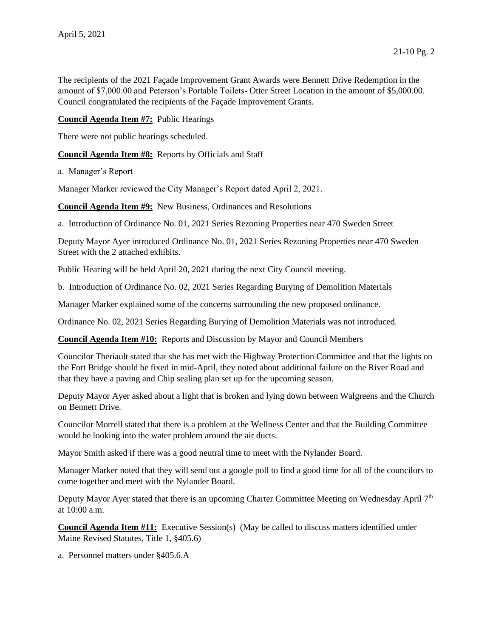The recipients of the 2021 Façade Improvement Grant Awards were Bennett Drive Redemption in the amount of \$7,000.00 and Peterson's Portable Toilets- Otter Street Location in the amount of \$5,000.00. Council congratulated the recipients of the Façade Improvement Grants.

**Council Agenda Item #7:** Public Hearings

There were not public hearings scheduled.

**Council Agenda Item #8:** Reports by Officials and Staff

a. Manager's Report

Manager Marker reviewed the City Manager's Report dated April 2, 2021.

**Council Agenda Item #9:** New Business, Ordinances and Resolutions

a. Introduction of Ordinance No. 01, 2021 Series Rezoning Properties near 470 Sweden Street

Deputy Mayor Ayer introduced Ordinance No. 01, 2021 Series Rezoning Properties near 470 Sweden Street with the 2 attached exhibits.

Public Hearing will be held April 20, 2021 during the next City Council meeting.

b. Introduction of Ordinance No. 02, 2021 Series Regarding Burying of Demolition Materials

Manager Marker explained some of the concerns surrounding the new proposed ordinance.

Ordinance No. 02, 2021 Series Regarding Burying of Demolition Materials was not introduced.

**Council Agenda Item #10:** Reports and Discussion by Mayor and Council Members

Councilor Theriault stated that she has met with the Highway Protection Committee and that the lights on the Fort Bridge should be fixed in mid-April, they noted about additional failure on the River Road and that they have a paving and Chip sealing plan set up for the upcoming season.

Deputy Mayor Ayer asked about a light that is broken and lying down between Walgreens and the Church on Bennett Drive.

Councilor Morrell stated that there is a problem at the Wellness Center and that the Building Committee would be looking into the water problem around the air ducts.

Mayor Smith asked if there was a good neutral time to meet with the Nylander Board.

Manager Marker noted that they will send out a google poll to find a good time for all of the councilors to come together and meet with the Nylander Board.

Deputy Mayor Ayer stated that there is an upcoming Charter Committee Meeting on Wednesday April 7<sup>th</sup> at 10:00 a.m.

**Council Agenda Item #11:** Executive Session(s) (May be called to discuss matters identified under Maine Revised Statutes, Title 1, §405.6)

a. Personnel matters under §405.6.A